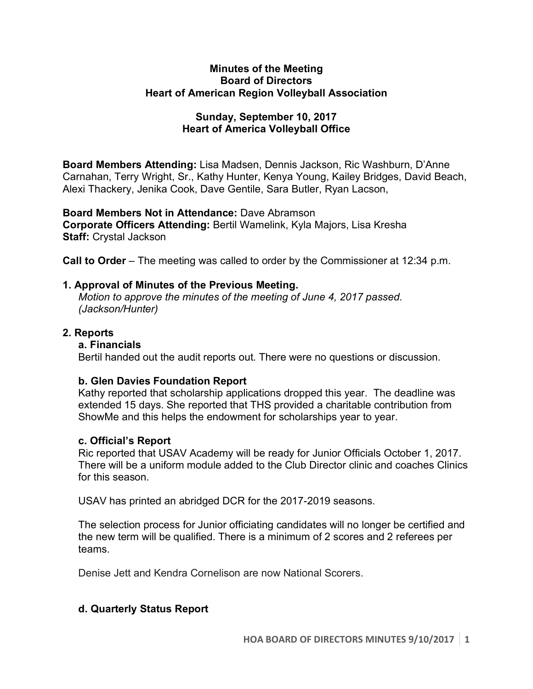## **Minutes of the Meeting Board of Directors Heart of American Region Volleyball Association**

# **Sunday, September 10, 2017 Heart of America Volleyball Office**

**Board Members Attending:** Lisa Madsen, Dennis Jackson, Ric Washburn, D'Anne Carnahan, Terry Wright, Sr., Kathy Hunter, Kenya Young, Kailey Bridges, David Beach, Alexi Thackery, Jenika Cook, Dave Gentile, Sara Butler, Ryan Lacson,

**Board Members Not in Attendance:** Dave Abramson **Corporate Officers Attending:** Bertil Wamelink, Kyla Majors, Lisa Kresha **Staff:** Crystal Jackson

**Call to Order** – The meeting was called to order by the Commissioner at 12:34 p.m.

# **1. Approval of Minutes of the Previous Meeting.**

*Motion to approve the minutes of the meeting of June 4, 2017 passed. (Jackson/Hunter)* 

## **2. Reports**

## **a. Financials**

Bertil handed out the audit reports out. There were no questions or discussion.

# **b. Glen Davies Foundation Report**

Kathy reported that scholarship applications dropped this year. The deadline was extended 15 days. She reported that THS provided a charitable contribution from ShowMe and this helps the endowment for scholarships year to year.

## **c. Official's Report**

Ric reported that USAV Academy will be ready for Junior Officials October 1, 2017. There will be a uniform module added to the Club Director clinic and coaches Clinics for this season.

USAV has printed an abridged DCR for the 2017-2019 seasons.

The selection process for Junior officiating candidates will no longer be certified and the new term will be qualified. There is a minimum of 2 scores and 2 referees per teams.

Denise Jett and Kendra Cornelison are now National Scorers.

# **d. Quarterly Status Report**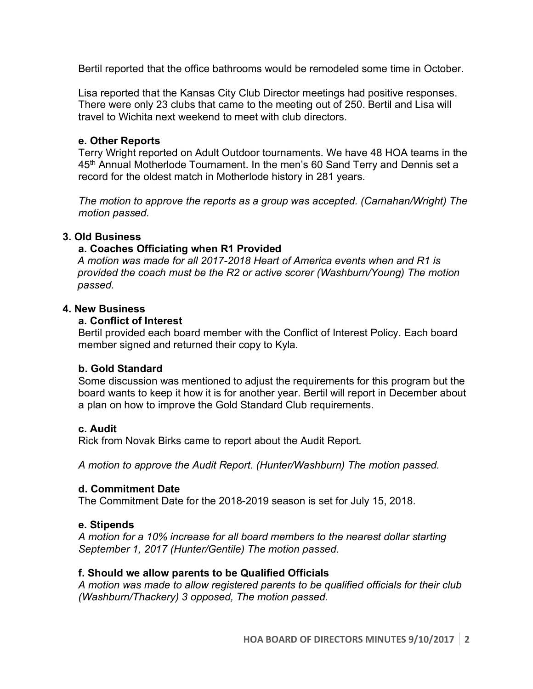Bertil reported that the office bathrooms would be remodeled some time in October.

Lisa reported that the Kansas City Club Director meetings had positive responses. There were only 23 clubs that came to the meeting out of 250. Bertil and Lisa will travel to Wichita next weekend to meet with club directors.

## **e. Other Reports**

Terry Wright reported on Adult Outdoor tournaments. We have 48 HOA teams in the 45<sup>th</sup> Annual Motherlode Tournament. In the men's 60 Sand Terry and Dennis set a record for the oldest match in Motherlode history in 281 years.

*The motion to approve the reports as a group was accepted. (Carnahan/Wright) The motion passed.*

## **3. Old Business**

## **a. Coaches Officiating when R1 Provided**

*A motion was made for all 2017-2018 Heart of America events when and R1 is provided the coach must be the R2 or active scorer (Washburn/Young) The motion passed.*

## **4. New Business**

## **a. Conflict of Interest**

Bertil provided each board member with the Conflict of Interest Policy. Each board member signed and returned their copy to Kyla.

## **b. Gold Standard**

Some discussion was mentioned to adjust the requirements for this program but the board wants to keep it how it is for another year. Bertil will report in December about a plan on how to improve the Gold Standard Club requirements.

## **c. Audit**

Rick from Novak Birks came to report about the Audit Report.

*A motion to approve the Audit Report. (Hunter/Washburn) The motion passed.*

#### **d. Commitment Date**

The Commitment Date for the 2018-2019 season is set for July 15, 2018.

## **e. Stipends**

*A motion for a 10% increase for all board members to the nearest dollar starting September 1, 2017 (Hunter/Gentile) The motion passed*.

## **f. Should we allow parents to be Qualified Officials**

*A motion was made to allow registered parents to be qualified officials for their club (Washburn/Thackery) 3 opposed, The motion passed.*